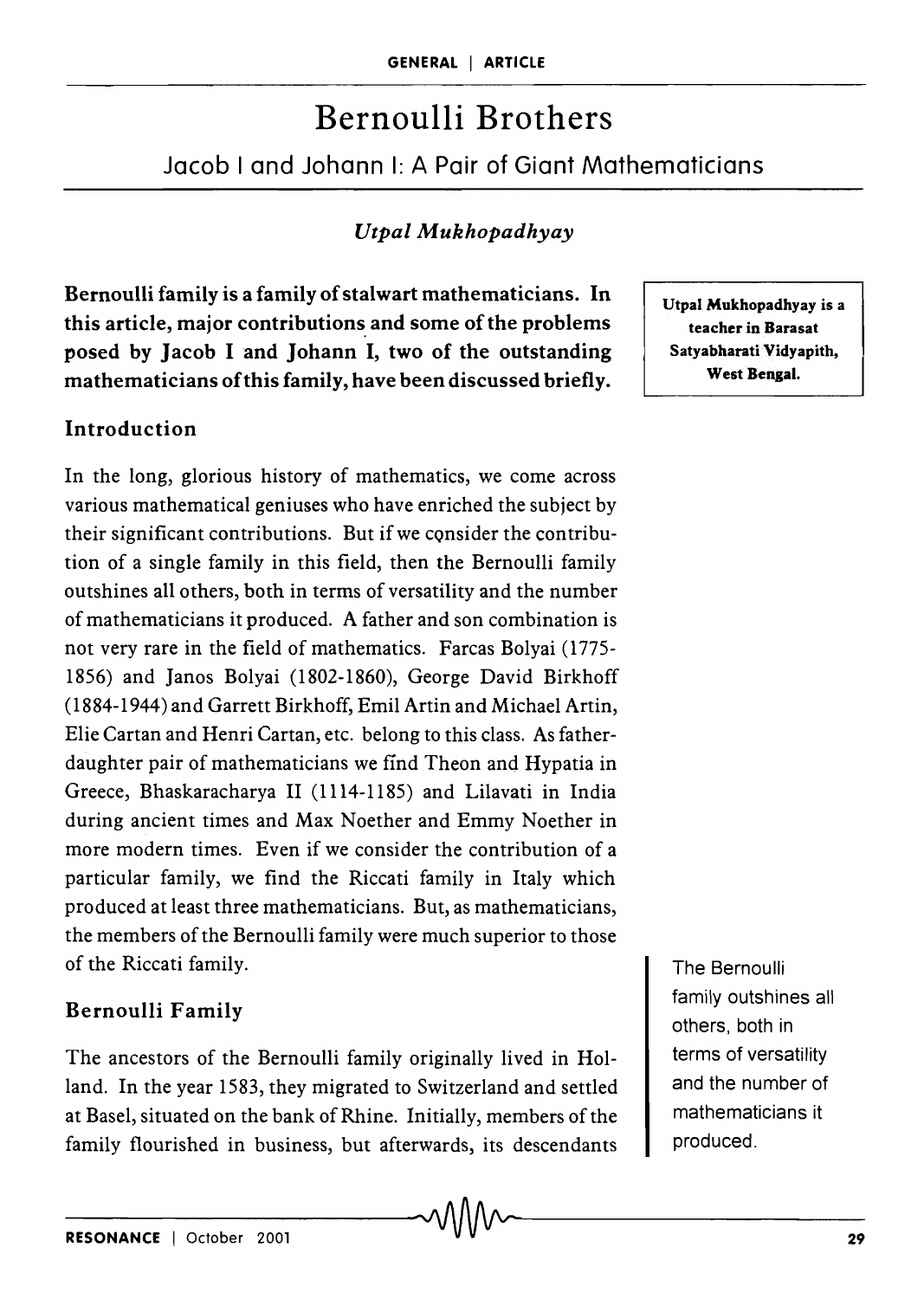# Bernoulli Brothers

Jacob 1 and Johann I: A Pair of Giant Mathematicians

# *UtpalAJukhopadhyay*

Bernoulli family is a family of stalwart mathematicians. In this article, major contributions and some of the problems posed by Jacob I and Johann I, two of the outstanding mathematicians of this family, have been discussed briefly.

## Introduction

In the long, glorious history of mathematics, we come across various mathematical geniuses who have enriched the subject by their significant contributions. But if we consider the contribution of a single family in this field, then the Bernoulli family outshines all others, both in terms of versatility and the number of mathematicians it produced. A father and son combination is not very rare in the field of mathematics. Farcas Bolyai (1775- 1856) and Janos Bolyai (1802-1860), George David Birkhoff (1884-1944) and Garrett Birkhoff, Emil Artin and Michael Artin, Elie Cartan and Henri Cartan, etc. belong to this class. As fatherdaughter pair of mathematicians we find Theon and Hypatia in Greece, Bhaskaracharya II (1114-1185) and Lilavati in India during ancient times and Max Noether and Emmy Noether in more modern times. Even if we consider the contribution of a particular family, we find the Riccati family in Italy which produced at least three mathematicians. But, as mathematicians, the members of the Bernoulli family were much superior to those of the Riccati family.

## Bernoulli Family

The ancestors of the Bernoulli family originally lived in Holland. In the year 1583, they migrated to Switzerland and settled at Basel, situated on the bank of Rhine. Initially, members of the family flourished in business, but afterwards, its descendants

Utpal Mukhopadhyay is a teacher in Barasat Satyabharati Vidyapith, West Bengal.

The Bernoulli family outshines all others, both in terms of versatility and the number of mathematicians it produced.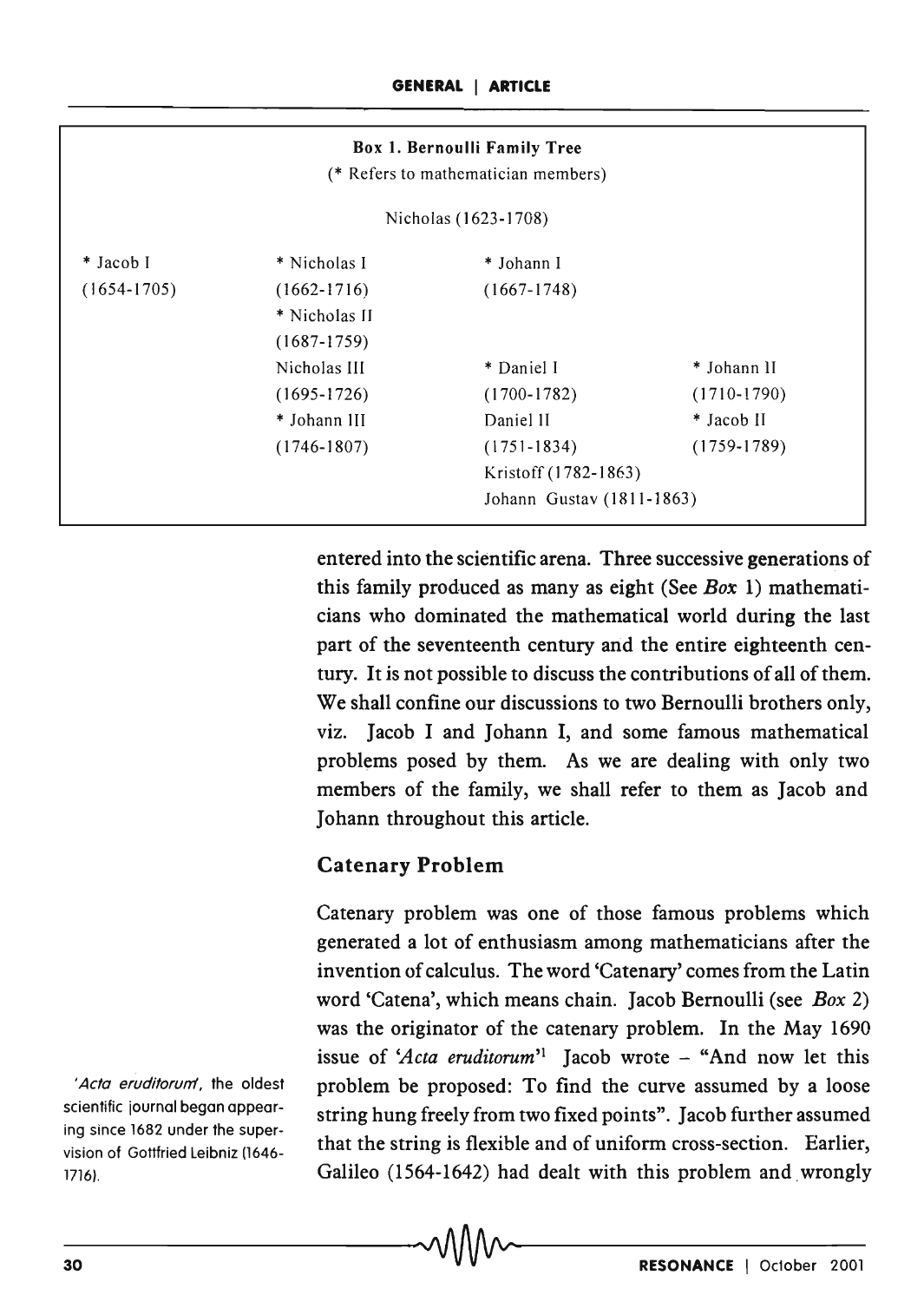|                      |                 | Box 1. Bernoulli Family Tree<br>(* Refers to mathematician members) |                           |  |
|----------------------|-----------------|---------------------------------------------------------------------|---------------------------|--|
| Nicholas (1623-1708) |                 |                                                                     |                           |  |
| * Jacob I            | * Nicholas I    | * Johann I                                                          |                           |  |
| $(1654-1705)$        | $(1662 - 1716)$ | $(1667-1748)$                                                       |                           |  |
|                      | * Nicholas II   |                                                                     |                           |  |
|                      | $(1687 - 1759)$ |                                                                     |                           |  |
|                      | Nicholas III    | * Daniel I                                                          | * Johann II               |  |
|                      | $(1695 - 1726)$ | $(1700-1782)$                                                       | $(1710-1790)$             |  |
|                      | * Johann III    | Daniel II                                                           | * Jacob II                |  |
|                      | $(1746 - 1807)$ | $(1751 - 1834)$                                                     | $(1759 - 1789)$           |  |
|                      |                 | Kristoff (1782-1863)                                                |                           |  |
|                      |                 |                                                                     | Johann Gustav (1811-1863) |  |

entered into the scientific arena. Three successive generations of this family produced as many as eight (See *Box* 1) mathematicians who dominated the mathematical world during the last part of the seventeenth century and the entire eighteenth century. It is not possible to discuss the contributions of all of them. We shall confine our discussions to two Bernoulli brothers only, viz. Jacob I and Johann I, and some famous mathematical problems posed by them. As we are dealing with only two members of the family, we shall refer to them as Jacob and Johann throughout this article.

## Catenary Problem

Catenary problem was one of those famous problems which generated a lot of enthusiasm among mathematicians after the invention of calculus. The word 'Catenary' comes from the Latin word 'Catena', which means chain. Jacob Bernoulli (see *Box 2)*  was the originator of the catenary problem. In the May 1690 issue of 'Acta eruditorum'<sup>1</sup> Jacob wrote  $-$  "And now let this problem be proposed: To find the curve assumed by a loose string hung freely from two fixed points". Jacob further assumed that the string is flexible and of uniform cross-section. Earlier, Galileo (1564-1642) had dealt with this problem and wrongly

'Acta eruditorum', the oldest scientific journal began appearing since 1682 under the supervision of Gottfried Leibniz (1646-17l6).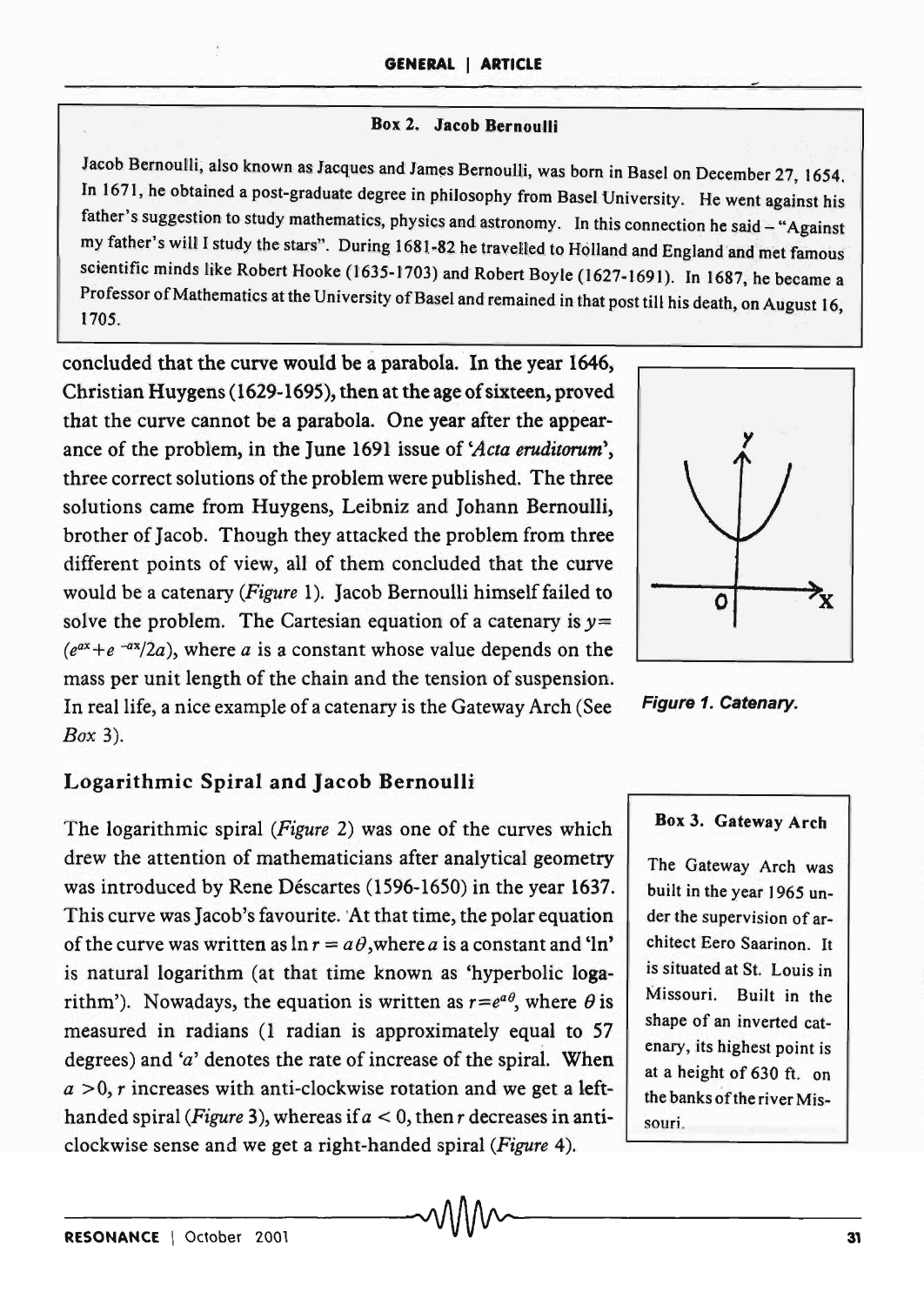### Box 2. Jacob Bernoulli

Jacob Bernoulli, also known as Jacques and James Bernoulli, was born in Basel on December 27, 1654. In 1671, he obtained a post-graduate degree in philosophy from Basel University. He went against his father's suggestion to study mathematics, physics and astronomy. In this connection he said - "Against my father's will I study the stars". During 1681-82 he travelled to Holland and England and met famous scientific minds like Robert Hooke (1635-1703) and Robert Boyle (1627-1691). In 1687, he became a Professor of Mathematics at the University of Basel and remained in that post till his death, on August 16,<br>1705

concluded that the curve would be a parabola. In the year 1646, Christian Huygens (1629-1695), then at the age of sixteen, proved that the curve cannot be a parabola. One year after the appearance of the problem, in the June 1691 issue of *'Acta eruditorum"*  three correct solutions of the problem were published. The three solutions came from Huygens, Leibniz and Johann Bernoulli, brother of Jacob. Though they attacked the problem from three different points of view, all of them concluded that the curve would be a catenary *(Figure* 1). Jacob Bernoulli himself failed to solve the problem. The Cartesian equation of a catenary is *y=*   $(e^{ax}+e^{-ax}/2a)$ , where *a* is a constant whose value depends on the mass per unit length of the chain and the tension of suspension. In real life, a nice example of a catenary is the Gateway Arch (See Figure 1. Catenary. *Box 3).* 



The logarithmic spiral *(Figure* 2) was one of the curves which drew the attention of mathematicians after analytical geometry was introduced by Rene Déscartes (1596-1650) in the year 1637. This curve was Jacob's favourite. 'At that time, the polar equation of the curve was written as  $\ln r = a\theta$ , where *a* is a constant and 'ln' is natural logarithm (at that time known as 'hyperbolic logarithm'). Nowadays, the equation is written as  $r=e^{a\theta}$ , where  $\theta$  is measured in radians (l radian is approximately equal to 57 degrees) and *'a'* denotes the rate of increase of the spiral. When  $a > 0$ , r increases with anti-clockwise rotation and we get a lefthanded spiral *(Figure 3)*, whereas if  $a < 0$ , then r decreases in anticlockwise sense and we get a right-handed spiral *(Figure 4).* 

 $\sim$  V V V V  $\sim$ 



#### Box 3. Gateway Arch

The Gateway Arch was built in the year 1965 under the supervision of architect Eero Saarinon. It is situated at St. Louis in Missouri. Built in the shape of an inverted catenary, its highest point is at a height of 630 ft. on the banks of the river Missouri.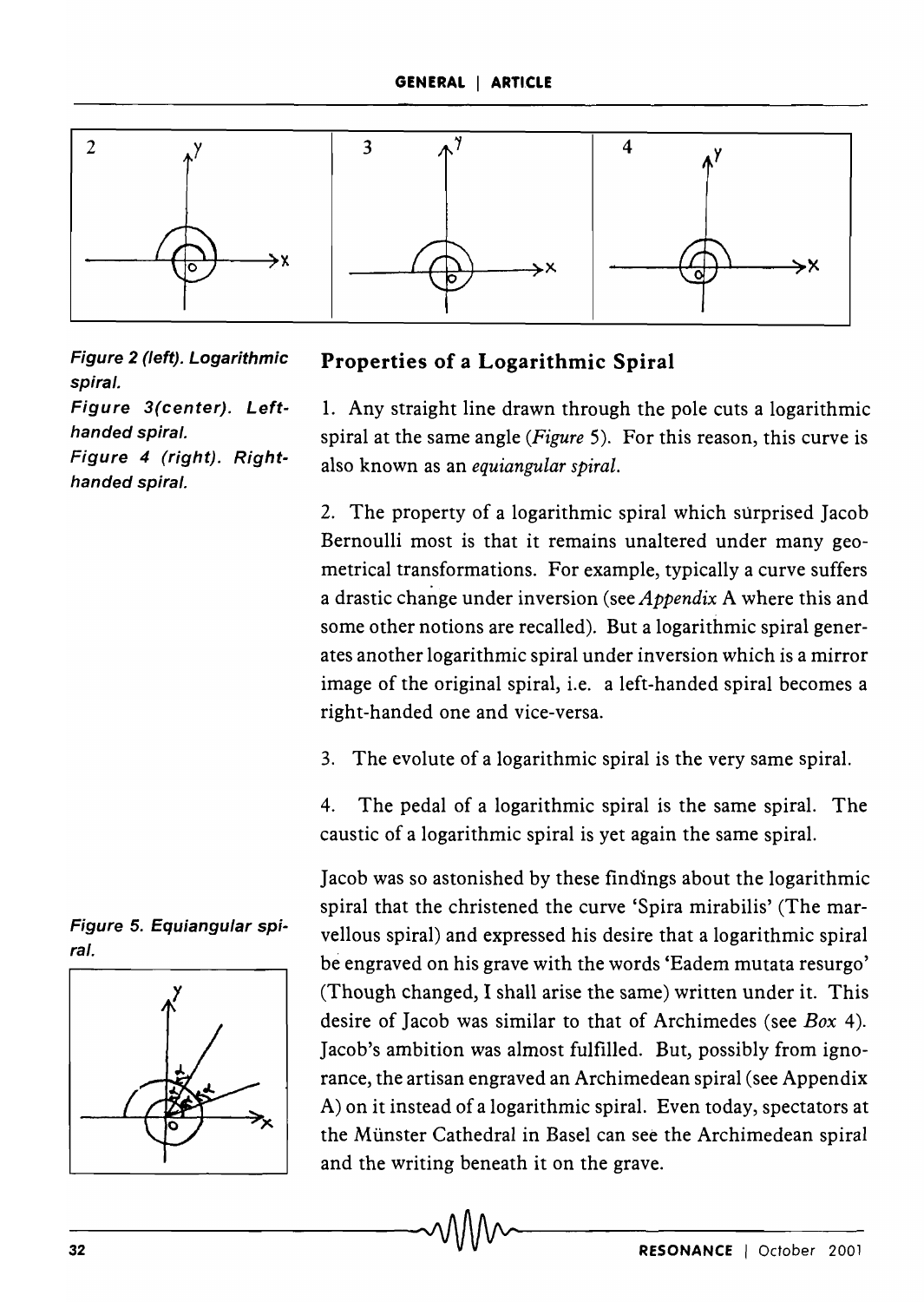

Figure 2 (left). Logarithmic spiral. Figure 3(center). Lefthanded spiral. Figure 4 (right). Right-

handed spiral.



1. Any straight line drawn through the pole cuts a logarithmic spiral at the same angle *(Figure* 5). For this reason, this curve is also known as an *equiangular spiral.* 

2. The property of a logarithmic spiral which surprised Jacob Bernoulli most is that it remains unaltered under many geometrical transformations. For example, typically a curve suffers a drastic change under inversion (see *Appendix* A where this and some other notions are recalled). But a logarithmic spiral generates another logarithmic spiral under inversion which is a mirror image of the original spiral, i.e. a left-handed spiral becomes a right-handed one and vice-versa.

3. The evolute of a logarithmic spiral is the very same spiral.

4. The pedal of a logarithmic spiral is the same spiral. The caustic of a logarithmic spiral is yet again the same spiral.

Jacob was so astonished by these findings about the logarithmic spiral that the christened the curve 'Spira mirabilis' (The marvellous spiral) and expressed his desire that a logarithmic spiral be engraved on his grave with the words 'Eadem mutata resurgo' (Though changed, I shall arise the same) written under it. This desire of Jacob was similar to that of Archimedes (see *Box 4).*  Jacob's ambition was almost fulfilled. But, possibly from ignorance, the artisan engraved an Archimedean spiral (see Appendix A) on it instead of a logarithmic spiral. Even today, spectators at the Munster Cathedral in Basel can see the Archimedean spiral and the writing beneath it on the grave. and the writing beneath it on the grave.<br> $\bigcirc$   $\bigcirc$   $\bigcirc$   $\bigcirc$   $\bigcirc$   $\bigcirc$   $\bigcirc$   $\bigcirc$   $\bigcirc$   $\bigcirc$   $\bigcirc$   $\bigcirc$   $\bigcirc$   $\bigcirc$   $\bigcirc$   $\bigcirc$   $\bigcirc$   $\bigcirc$   $\bigcirc$   $\bigcirc$   $\bigcirc$   $\bigcirc$   $\bigcirc$   $\bigcirc$   $\bigcirc$   $\bigcirc$   $\bigcirc$   $\bigcirc$   $\bigcirc$   $\bigcirc$ 

Figure 5. Equiangular spiral.

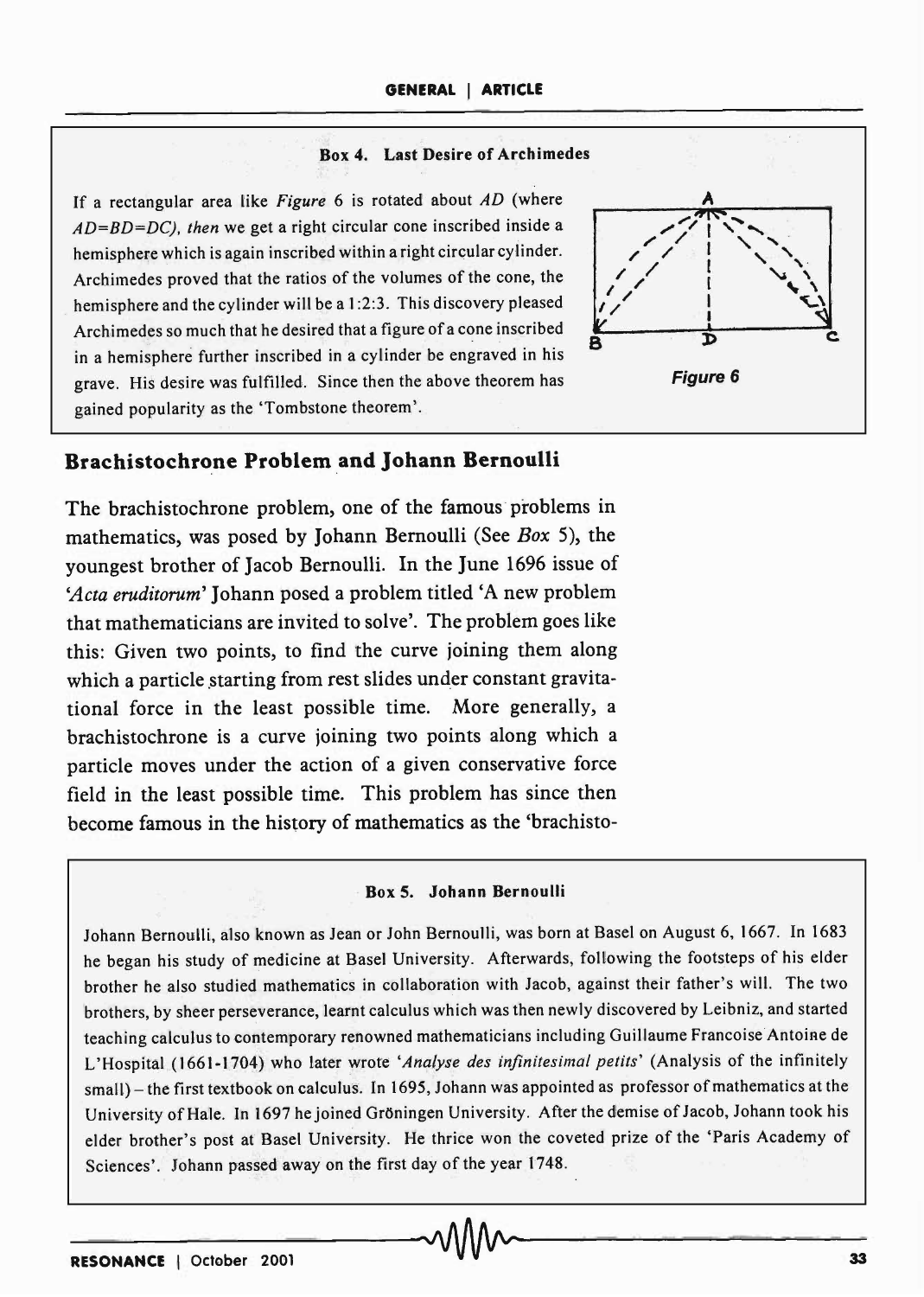#### Box 4. Last Desire of Arch imedes

If a rectangular area like *Figure* 6 is rotated about *AD* (where *AD=BD=DC). then* we get a right circular cone inscribed inside a hemisphere which is again inscribed within a right circular cylinder. Archimedes proved that the ratios of the volumes of the cone, the hemisphere and the cylinder will be a 1:2:3. This discovery pleased Archimedes so much that he desired that a figure of a cone inscribed in a hemisphere further inscribed in a cylinder be engraved in his grave. His desire was fulfilled. Since then the above theorem has gained popularity as the 'Tombstone theorem'.



## **Brachistochrone Problem and Johann Bernoulli**

The brachistochrone problem, one of the famous problems in mathematics, was posed by Johann Bernoulli (See *Box* 5), the youngest brother of Jacob Bernoulli. In the June 1696 issue of *'Acta eruditorum'* Johann posed a problem titled 'A new problem that mathematicians are invited to solve'. The problem goes like this: Given two points, to find the curve joining them along which a particle starting from rest slides under constant gravitational force in the least possible time. More generally, a brachistochrone is a curve joining two points along which a particle moves under the action of a given conservative force field in the least possible time. This problem has since then become famous in the history of mathematics as the 'brachisto-

#### Box 5. Johann Bernoulli

Johann Bernoulli, also known as Jean or John Bernoulli, was born at Basel on August 6, 1667. In 1683 he began his study of medicine at Basel University. Afterwards, following the footsteps of his elder brother he also studied mathematics in collaboration with Jacob, against their father's will. The two brothers, by sheer perseverance, learnt calculus which was then newly discovered by Leibniz, and started teaching calculus to contemporary renowned mathematicians including Guillaume Francoise Antoine de L'Hospital (1661-1704) who later wrote 'Analyse des infinitesimal petits' (Analysis of the infinitely small) - the first textbook on calculus. In 1695, Johann was appointed as professor of mathematics at the University of Hale. In 1697 he joined Gröningen University. After the demise of Jacob, Johann took his elder brother's post at Basel University. He thrice won the coveted prize of the 'Paris Academy of Sciences'. Johann passed away on the first day of the year 1748.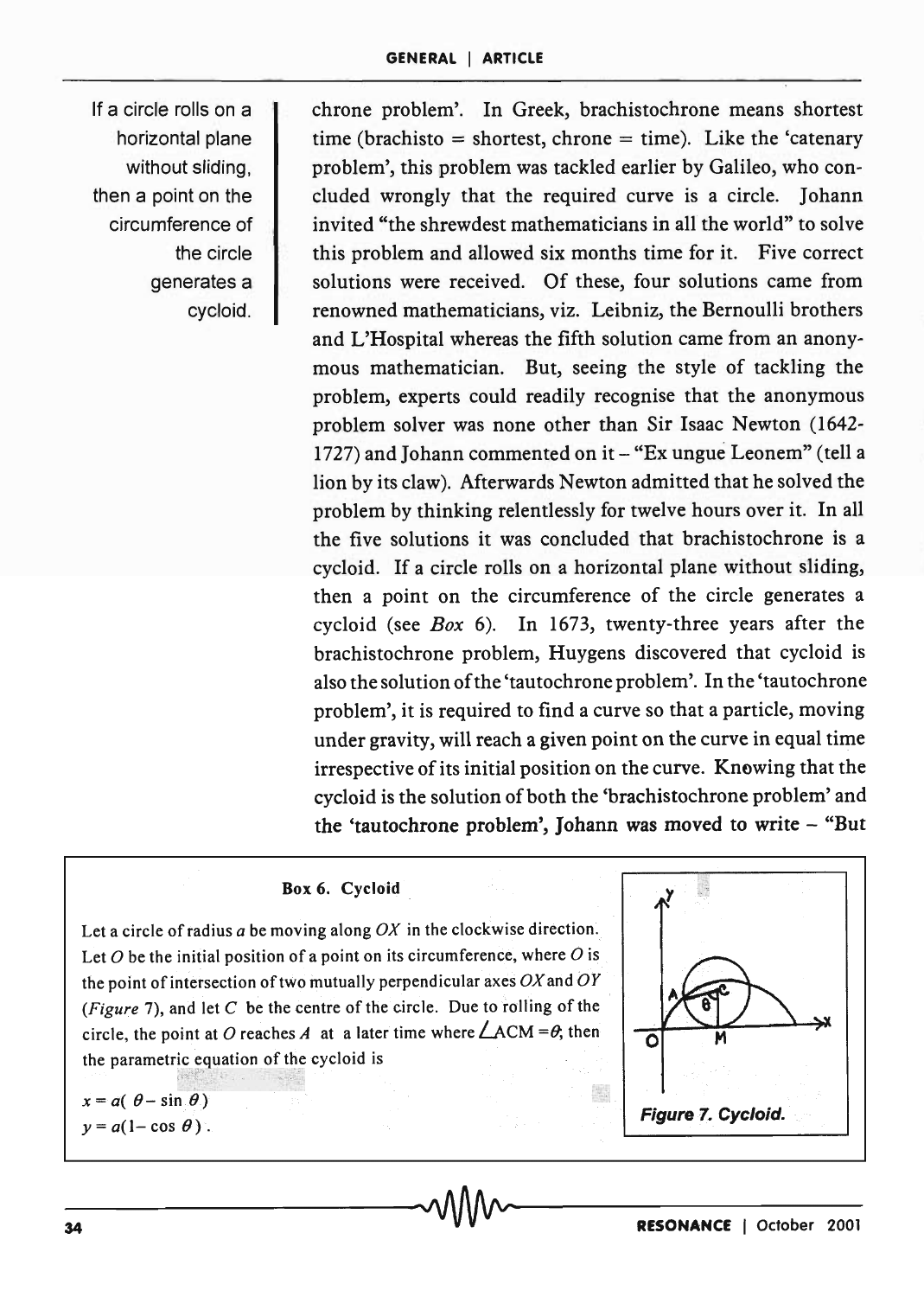If a circle rolls on a horizontal plane without sliding, then a point on the circumference of the circle generates a cycloid.

chrone problem'. In Greek, brachistochrone means shortest time (brachisto = shortest, chrone = time). Like the 'catenary problem', this problem was tackled earlier by Galileo, who concluded wrongly that the required curve is a circle. Johann invited "the shrewdest mathematicians in all the world" to solve this problem and allowed six months time for it. Five correct solutions were received. Of these, four solutions came from renowned mathematicians, viz. Leibniz, the Bernoulli brothers and L'Hospital whereas the fifth solution came from an anonymous mathematician. But, seeing the style of tackling the problem, experts could readily recognise that the anonymous problem solver was none other than Sir Isaac Newton (1642- 1727) and Johann commented on it - "Ex ungue Leonem" (tell a lion by its claw). Afterwards Newton admitted that he solved the problem by thinking relentlessly for twelve hours over it. In all the five solutions it was concluded that brachistochrone is a cycloid. If a circle rolls on a horizontal plane without sliding, then a point on the circumference of the circle generates a cycloid (see *Box* 6). In 1673, twenty-three years after the brachistochrone problem, Huygens discovered that cycloid is also the solution of the 'tautochrone problem'. In the 'tautochrone problem', it is required to find a curve so that a particle, moving under gravity, will reach a given point on the curve in equal time irrespective of its initial position on the curve. Knowing that the cycloid is the solution of both the 'brachistochrone problem' and the 'tautochrone problem', Johann was moved to write - "But

## Box 6. Cycloid

Let a circle of radius *a* be moving along *OX* in the clockwise direction. Let *0* be the initial position of a point on its circumference, where *0* is the point of intersection of two mutually perpendicular axes  $OX$  and  $OY$ *(Figure* 7), and let C be the centre of the circle. Due to rolling of the circle, the point at O reaches A at a later time where  $\angle ACM = \theta$ , then the parametric equation of the cycloid

 $x = a(\theta - \sin \theta)$  $y = a(1 - \cos \theta)$ .

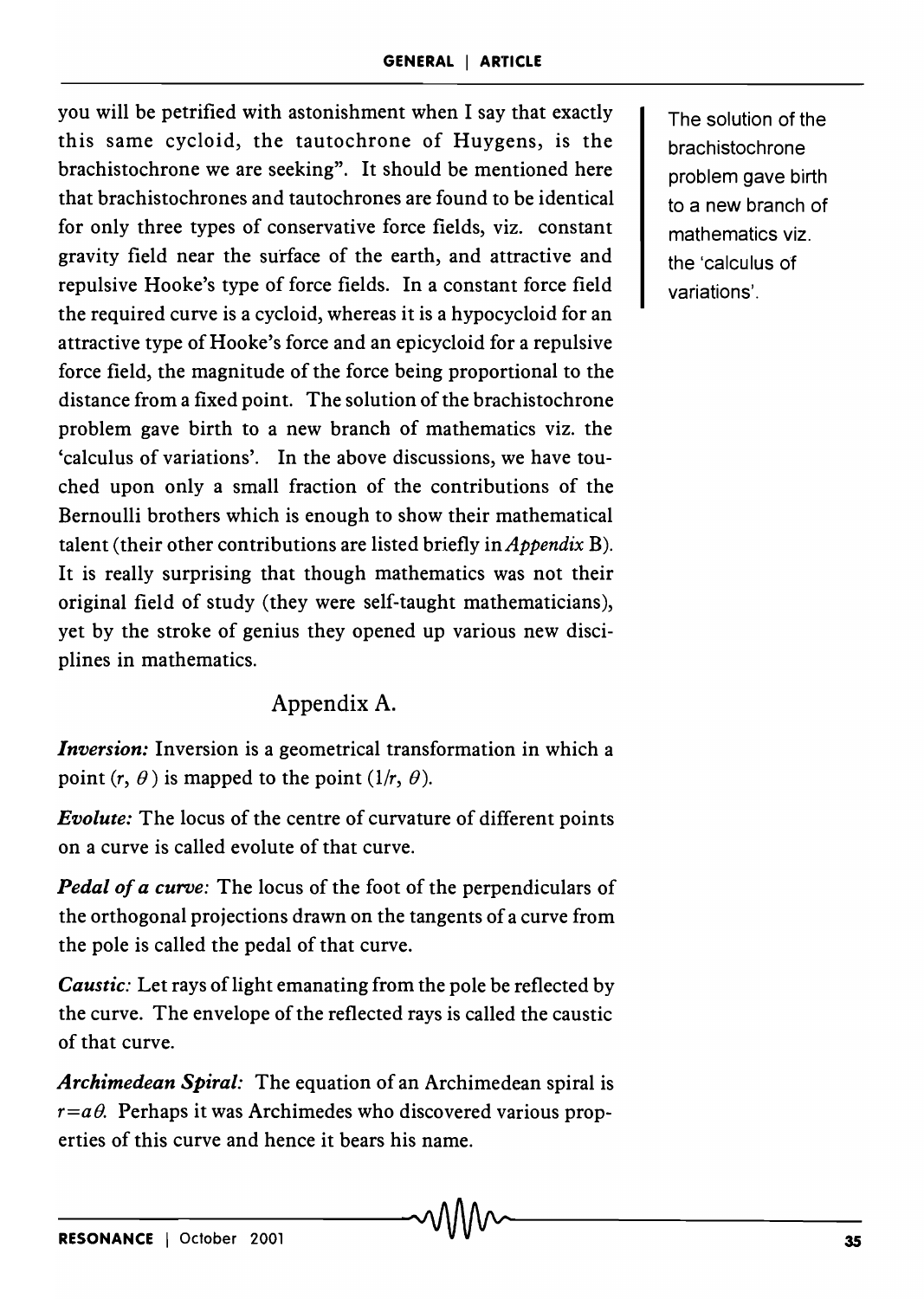you will be petrified with astonishment when I say that exactly this same cycloid, the tautochrone of Huygens, is the brachistochrone we are seeking". It should be mentioned here that brachistochrones and tautochrones are found to be identical for only three types of conservative force fields, viz. constant gravity field near the surface of the earth, and attractive and repulsive Hooke's type of force fields. In a constant force field the required curve is a cycloid, whereas it is a hypocycloid for an attractive type of Hooke's force and an epicycloid for a repulsive force field, the magnitude of the force being proportional to the distance from a fixed point. The solution of the brachistochrone problem gave birth to a new branch of mathematics viz. the 'calculus of variations'. In the above discussions, we have touched upon only a small fraction of the contributions of the Bernoulli brothers which is enough to show their mathematical talent (their other contributions are listed briefly in *Appendix* B). It is really surprising that though mathematics was not their original field of study (they were self-taught mathematicians), yet by the stroke of genius they opened up various new disciplines in mathematics.

# Appendix A.

*Inversion:* Inversion is a geometrical transformation in which a point  $(r, \theta)$  is mapped to the point  $(1/r, \theta)$ .

*Evolute:* The locus of the centre of curvature of different points on a curve is called evolute of that curve.

*Pedal of a curve:* The locus of the foot of the perpendiculars of the orthogonal projections drawn on the tangents of a curve from the pole is called the pedal of that curve.

*Caustic:* Let rays of light emanating from the pole be reflected by the curve. The envelope of the reflected rays is called the caustic of that curve.

*Archimedean Spiral:* The equation of an Archimedean spiral is  $r=a\theta$ . Perhaps it was Archimedes who discovered various properties of this curve and hence it bears his name.

The solution of the **brachistochrone** problem gave birth to a new branch of mathematics viz. the 'calculus of variations'.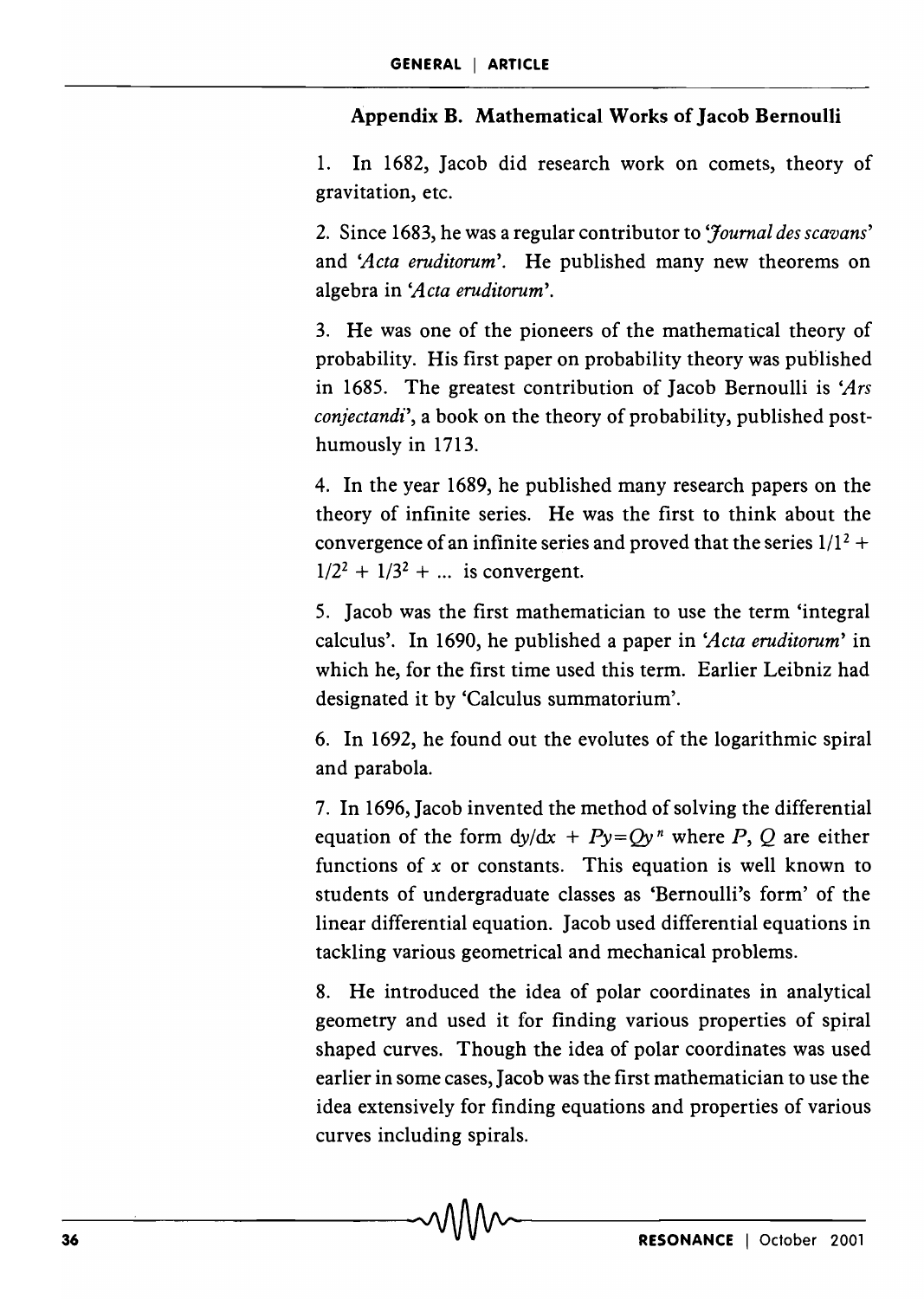## Appendix B. Mathematical Works of Jacob Bernoulli

1. In 1682, Jacob did research work on comets, theory of gravitation, etc.

2. Since 1683, he was a regular contributor to *'Journal des scavans'*  and *'Acta eruditorum'.* He published many new theorems on algebra in *'Acta eruditorum'.* 

3. He was one of the pioneers of the mathematical theory of probability. His first paper on probability theory was published in 1685. The greatest contribution of Jacob Bernoulli is *'Ars conjectandi',* a book on the theory of probability, published posthumously in 1713.

4. In the year 1689, he published many research papers on the theory of infinite series. He was the first to think about the convergence of an infinite series and proved that the series  $1/1^2$  +  $1/2^2 + 1/3^2 + ...$  is convergent.

5. Jacob was the first mathematician to use the term 'integral calculus', In 1690, he published a paper in *'Acta eruditorum'* in which he, for the first time used this term. Earlier Leibniz had designated it by 'Calculus summatorium'.

6. In 1692, he found out the evolutes of the logarithmic spiral and parabola.

7. In 1696, Jacob invented the method of solving the differential equation of the form  $dy/dx + Py=Qy^n$  where *P*, *Q* are either functions of *x* or constants. This equation is well known to students of undergraduate classes as 'Bernoulli's form' of the linear differential equation. Jacob used differential equations in tackling various geometrical and mechanical problems.

8. He introduced the idea of polar coordinates in analytical geometry and used it for finding various properties of spiral shaped curves. Though the idea of polar coordinates was used earlier in some cases, Jacob was the first mathematician to use the idea extensively for finding equations and properties of various curves including spirals.